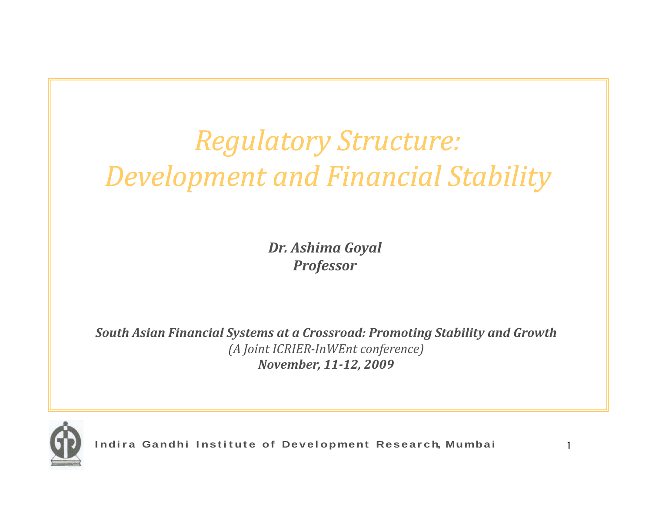# $Regulatory Structure:$ *Development and Financial Stability*

*Dr. Ashima Goyal Professor*

*South Asian Financial Systems at <sup>a</sup> Crossroad: Promoting Stability and Growth (A Joint ICRIERInWEnt conference) November, 1112, 2009*

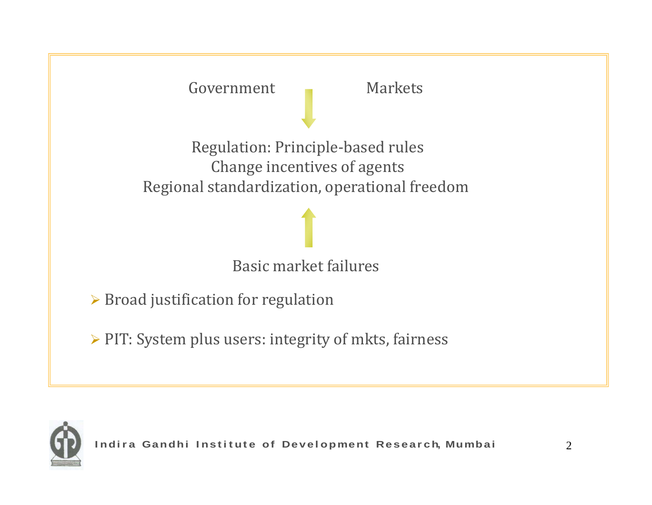

Regulation: Principle‐based rules Change incentives of agents Regional standardization, operational freedom

#### Basic market failures

 $\triangleright$  Broad justification for regulation

 $\triangleright$  PIT: System plus users: integrity of mkts, fairness

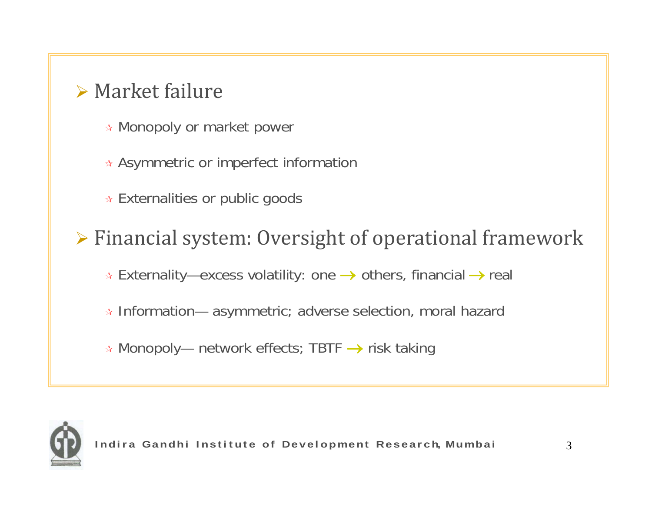### $\triangleright$  Market failure

- Monopoly or market power
- $\ast$  Asymmetric or imperfect information
- Externalities or public goods

¾ Financial system: Oversight of operational framework

Externality—excess volatility: one <sup>→</sup> others, financial <sup>→</sup> real

 $\ast$  Information— asymmetric; adverse selection, moral hazard

 $\ast$  Monopoly— network effects; TBTF  $\rightarrow$  risk taking

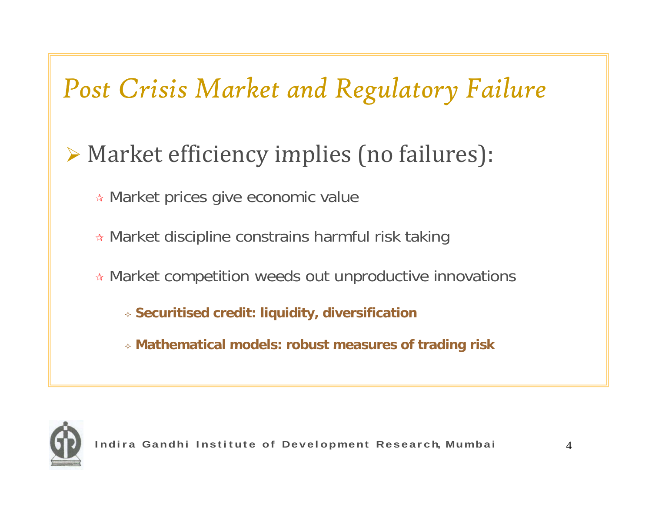## *Post Crisis Market and Regulatory Failure*

### $\triangleright$  Market efficiency implies (no failures):

- Market prices give economic value
- Market discipline constrains harmful risk taking
- \* Market competition weeds out unproductive innovations
	- **Securitised credit: liquidity, diversification**
	- **Mathematical models: robust measures of trading risk**

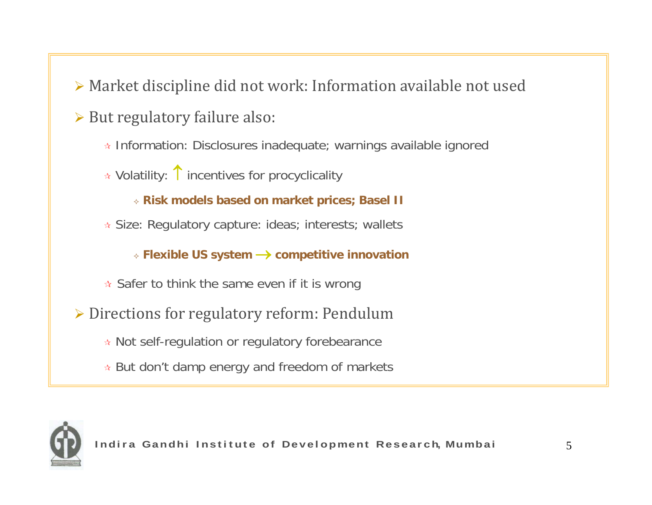- ¾ Market discipline did not work: Information available not used
- ¾ But regulatory failure also:
	- Information: Disclosures inadequate; warnings available ignored
	- Volatility: ↑ incentives for procyclicality

**Risk models based on market prices; Basel II**

☆ Size: Regulatory capture: ideas; interests; wallets

**Flexible US system** → **competitive innovation** 

- $\star$  Safer to think the same even if it is wrong
- ¾ Directions for regulatory reform: Pendulum
	- $\star$  Not self-regulation or regulatory forebearance
	- But don't damp energy and freedom of markets

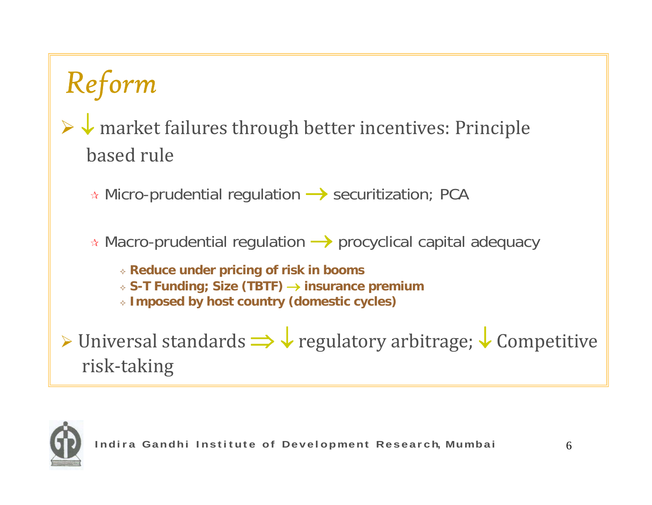# *<sup>R</sup> fe orm*

### ¾ ↓ market failures through better incentives: Principle based rule

\* Micro-prudential regulation → securitization; PCA

- $\ast$  Macro-prudential regulation  $\longrightarrow$  procyclical capital adequacy
	- **Reduce under pricing of risk in booms**
	- **S-T Funding; Size (TBTF) T** <sup>→</sup> **insurance premium**
	- **Imposed by host country (domestic cycles)**

≻ Universal standards  $\Rightarrow$  ↓ regulatory arbitrage; ↓ Competitive risk‐taking

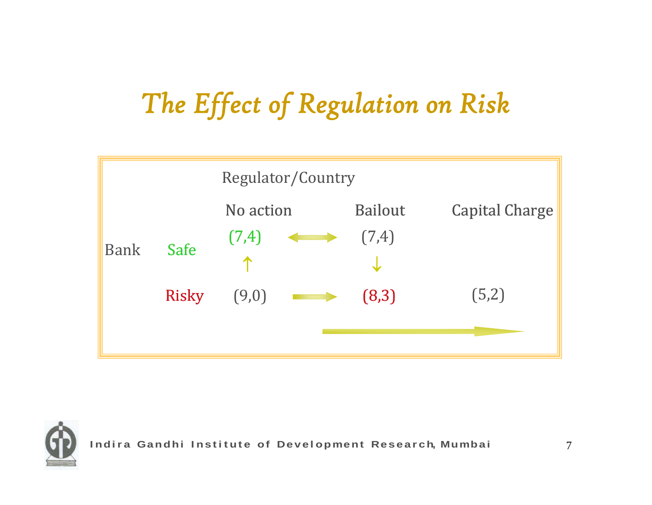# *Th ff f l k he Effect of Regu lation on Ris ation*



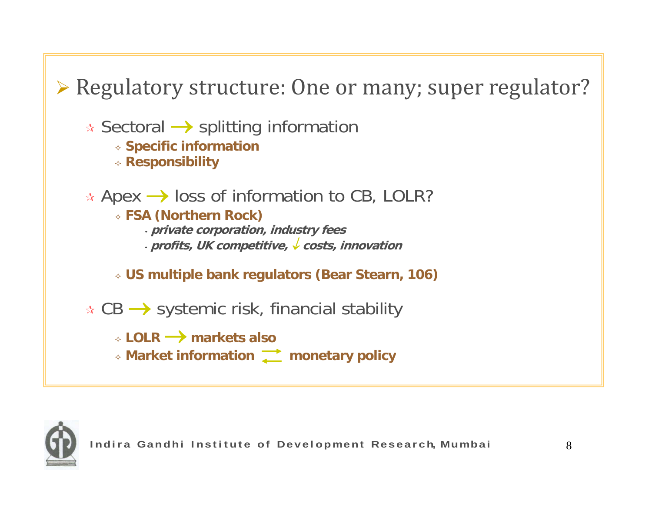¾ Regulatory structure: One or many; super regulator? Sectoral → splitting information **Specific information Responsibility**  $\star$  Apex  $\rightarrow$  loss of information to CB, LOLR? **FSA ( ) Northern Rock)** • **private corporation, industry fees** • **profits, UK competitive,** ↓ **costs, innovation US multiple bank regulators (Bear Stearn, 106)**  $\star$  CB  $\rightarrow$  systemic risk, financial stability **LOLR** → **markets also Market information monetary policy**

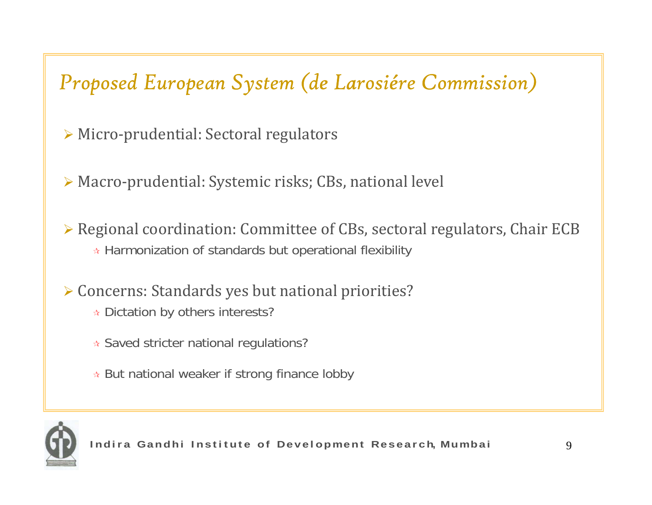### *Proposed European System (de Larosiére Commission)*

- ¾ Micro‐prudential: Sectoral regulators
- ¾ Macro‐prudential: Systemic risks; CBs, national level
- ¾ Regional coordination: Committee of CBs, sectoral regulators, Chair ECB  $\ast$  Harmonization of standards but operational flexibility
- ¾ Concerns: Standards yes but national priorities?
	- Dictation by others interests?
	- Saved stricter national regulations?
	- But national weaker if strong finance lobby

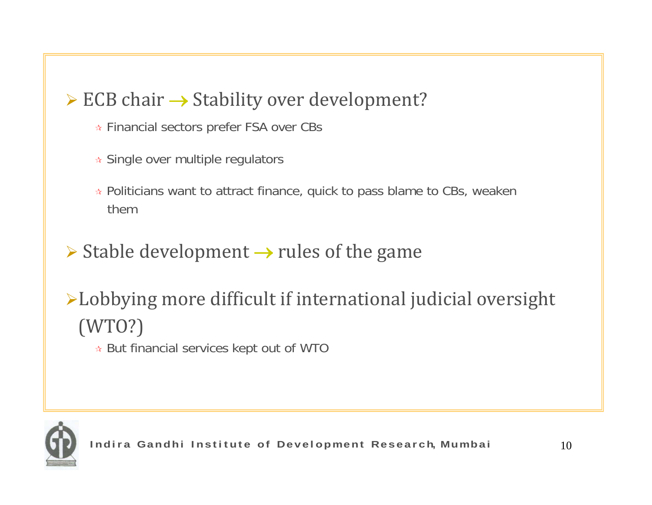#### $\triangleright$  ECB chair  $\rightarrow$  Stability over development?

- Financial sectors prefer FSA over CBs
- Single over multiple regulators
- Politicians want to attract finance, quick to pass blame to CBs, weaken them
- ¾ Stable development <sup>→</sup> rules of the game
- <sup>¾</sup>Lobbying more difficult if international judicial oversight (WTO?)
	- $\star$  But financial services kept out of WTO

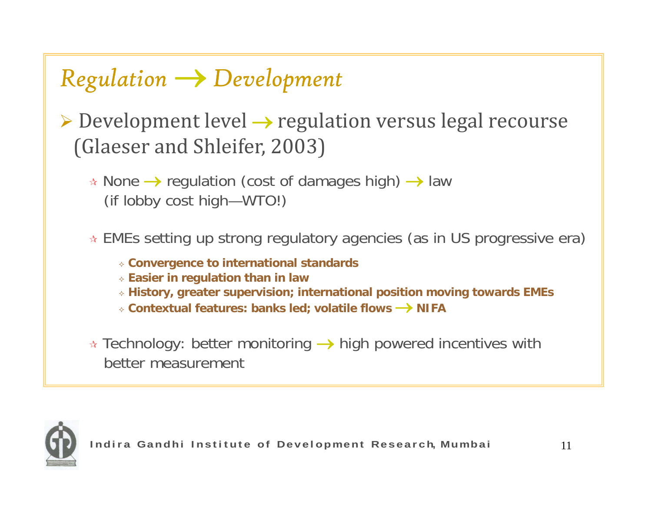### *Regulation* <sup>→</sup> *Development*

- ¾ Development level <sup>→</sup> regulation versus legal recourse (Glaeser and Shleifer, 2003)
	- <sup>★</sup> None → regulation (cost of damages high) → law (if lobby cost high—WTO!)
	- EMEs setting up strong regulatory agencies (as in US progressive era)
		- **Convergence to international standards**
		- **Easier in regulation than in law**
		- **History, greater supervision; international position moving towards EMEs**
		- **Contextual features: banks led; volatile flows** → **NIFA**
	- $\ast$  Technology: better monitoring  $\rightarrow$  high powered incentives with better measurement

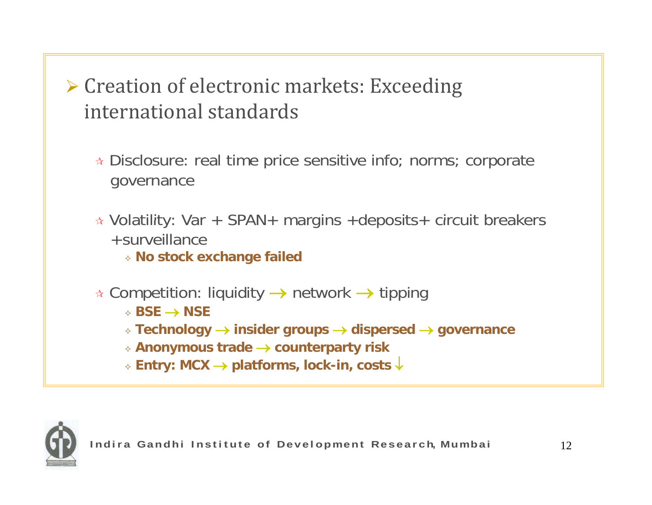Creation of electronic markets: Exceeding international standards

 $\ast$  Disclosure: real time price sensitive info; norms; corporate governance

 $\ast$  Volatility: Var + SPAN+ margins +deposits+ circuit breakers +surveillance

**No stock exchange failed** 

- $\ast$  Competition: liquidity → network → tipping
	- **BSE** → **NSE**
	- **Technology** <sup>→</sup> **insider groups** <sup>→</sup> **dispersed** <sup>→</sup> **governance**
	- **Anonymous trade** <sup>→</sup> **counterparty risk**
	- **Entry: MCX** <sup>→</sup> **platforms, lock-in, costs** ↓

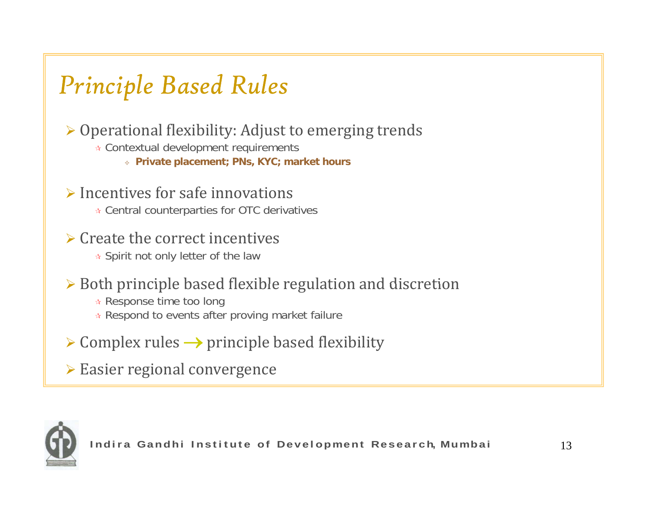### *Principle Based Rules*

¾ Operational flexibility: Adjust to emerging trends

- Contextual development requirements
	- **Private placement; PNs, KYC; market hours**
- $\triangleright$  Incentives for safe innovations
	- Central counterparties for OTC derivatives
- $\triangleright$  Create the correct incentives
	- $\ast$  Spirit not only letter of the law
- ¾ Both principle based flexible regulation and discretion
	- $\ast$  Response time too long
	- Respond to events after proving market failure
- $\triangleright$  Complex rules  $\rightarrow$  principle based flexibility
- ¾ Easier regional convergence

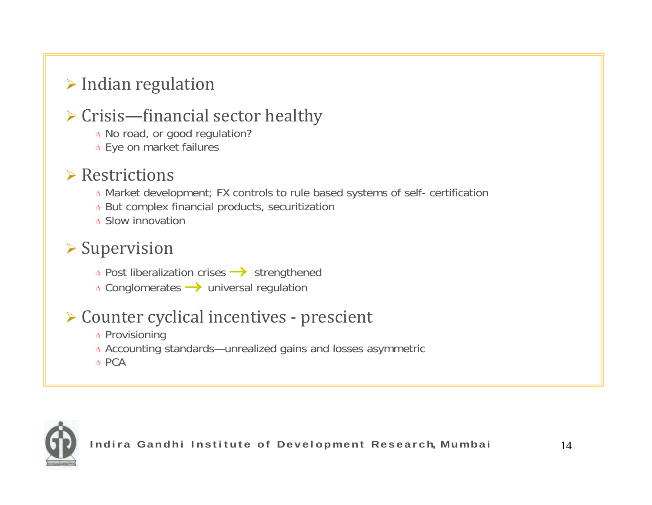#### $\triangleright$  Indian regulation

#### $\triangleright$  Crisis—financial sector healthy

- **★ No road, or good regulation?**
- Eye on market failures

#### $\triangleright$  Restrictions

- Market development; FX controls to rule based systems of self- certification
- But complex financial products, securitization
- <sup>★</sup> Slow innovation

#### $\triangleright$  Supervision

- **★ Post liberalization crises → strengthened**
- $\star$  Conglomerates  $\rightarrow$  universal regulation

#### ¾ Counter cyclical incentives ‐ prescient

- $\bm{\mathsf{\star}}$  Provisioning
- $\ast$  Accounting standards—unrealized gains and losses asymmetric
- ☆ PCA

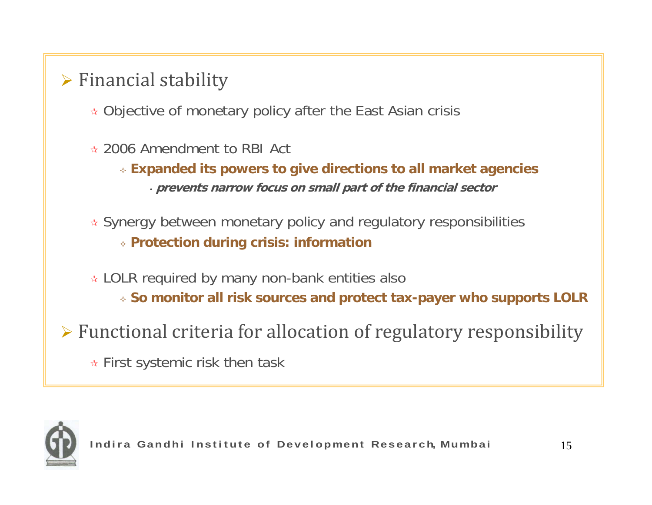### $\triangleright$  Financial stability

- Objective of monetary policy after the East Asian crisis
- 2006 Amendment to RBI Act
	- **Expanded its powers to give directions to all market agencies** • **prevents narrow focus on small part of the financial sector**
- Synergy between monetary policy and regulatory responsibilities **Protection during crisis: information**
- $\ast$  LOLR required by many non-bank entities also **So monitor all risk sources and protect tax-payer who supports LOLR**
- ¾ Functional criteria for allocation of regulatory responsibility
	- $\ast$  First systemic risk then task